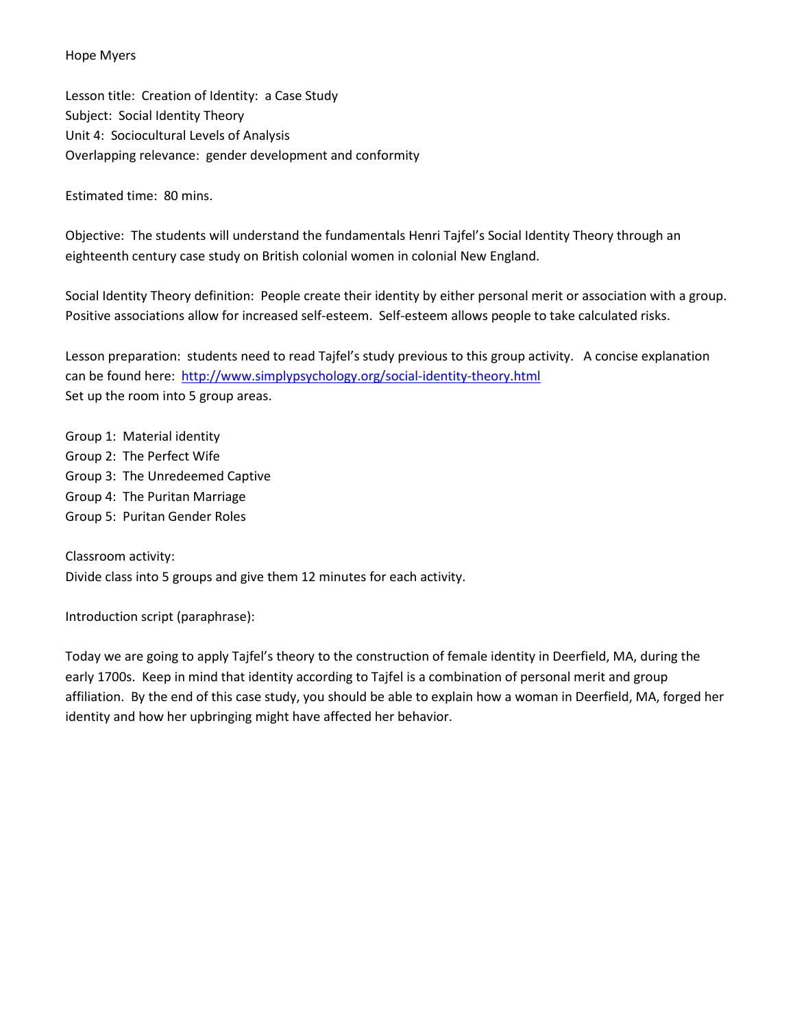#### Hope Myers

Lesson title: Creation of Identity: a Case Study Subject: Social Identity Theory Unit 4: Sociocultural Levels of Analysis Overlapping relevance: gender development and conformity

Estimated time: 80 mins.

Objective: The students will understand the fundamentals Henri Tajfel's Social Identity Theory through an eighteenth century case study on British colonial women in colonial New England.

Social Identity Theory definition: People create their identity by either personal merit or association with a group. Positive associations allow for increased self-esteem. Self-esteem allows people to take calculated risks.

Lesson preparation: students need to read Tajfel's study previous to this group activity. A concise explanation can be found here: <http://www.simplypsychology.org/social-identity-theory.html> Set up the room into 5 group areas.

Group 1: Material identity Group 2: The Perfect Wife Group 3: The Unredeemed Captive Group 4: The Puritan Marriage

Group 5: Puritan Gender Roles

Classroom activity: Divide class into 5 groups and give them 12 minutes for each activity.

Introduction script (paraphrase):

Today we are going to apply Tajfel's theory to the construction of female identity in Deerfield, MA, during the early 1700s. Keep in mind that identity according to Tajfel is a combination of personal merit and group affiliation. By the end of this case study, you should be able to explain how a woman in Deerfield, MA, forged her identity and how her upbringing might have affected her behavior.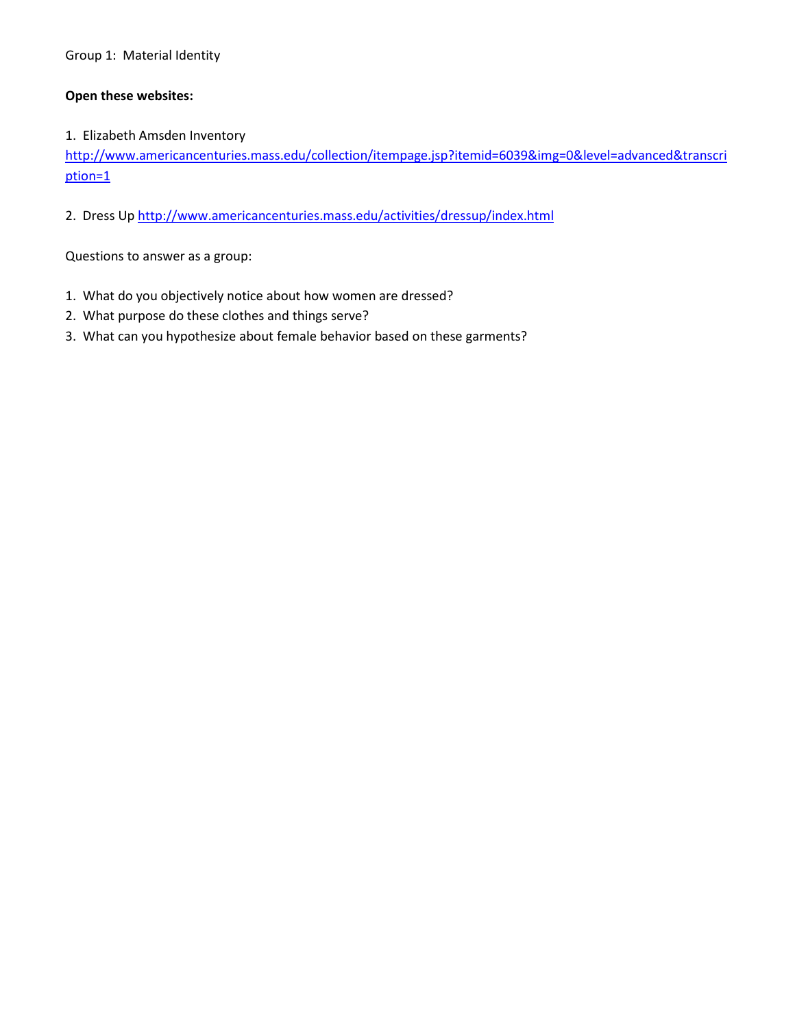# Group 1: Material Identity

## **Open these websites:**

## 1. Elizabeth Amsden Inventory

[http://www.americancenturies.mass.edu/collection/itempage.jsp?itemid=6039&img=0&level=advanced&transcri](http://www.americancenturies.mass.edu/collection/itempage.jsp?itemid=6039&img=0&level=advanced&transcription=1) [ption=1](http://www.americancenturies.mass.edu/collection/itempage.jsp?itemid=6039&img=0&level=advanced&transcription=1)

2. Dress Up<http://www.americancenturies.mass.edu/activities/dressup/index.html>

Questions to answer as a group:

- 1. What do you objectively notice about how women are dressed?
- 2. What purpose do these clothes and things serve?
- 3. What can you hypothesize about female behavior based on these garments?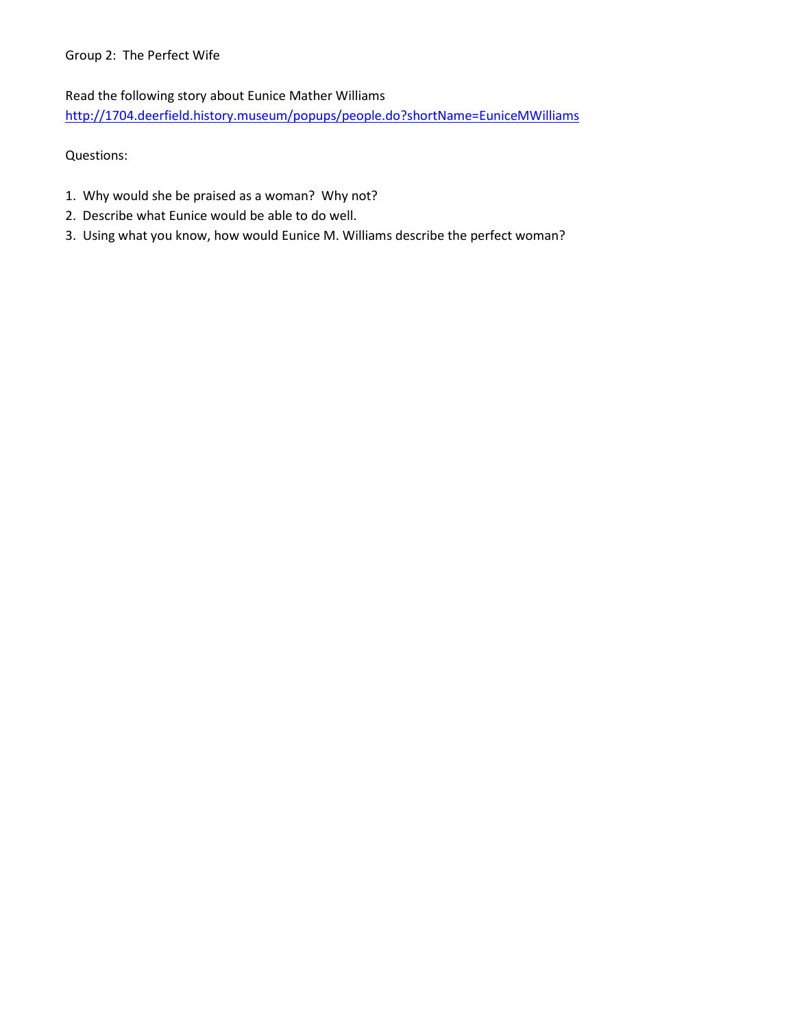# Group 2: The Perfect Wife

Read the following story about Eunice Mather Williams

<http://1704.deerfield.history.museum/popups/people.do?shortName=EuniceMWilliams>

Questions:

- 1. Why would she be praised as a woman? Why not?
- 2. Describe what Eunice would be able to do well.
- 3. Using what you know, how would Eunice M. Williams describe the perfect woman?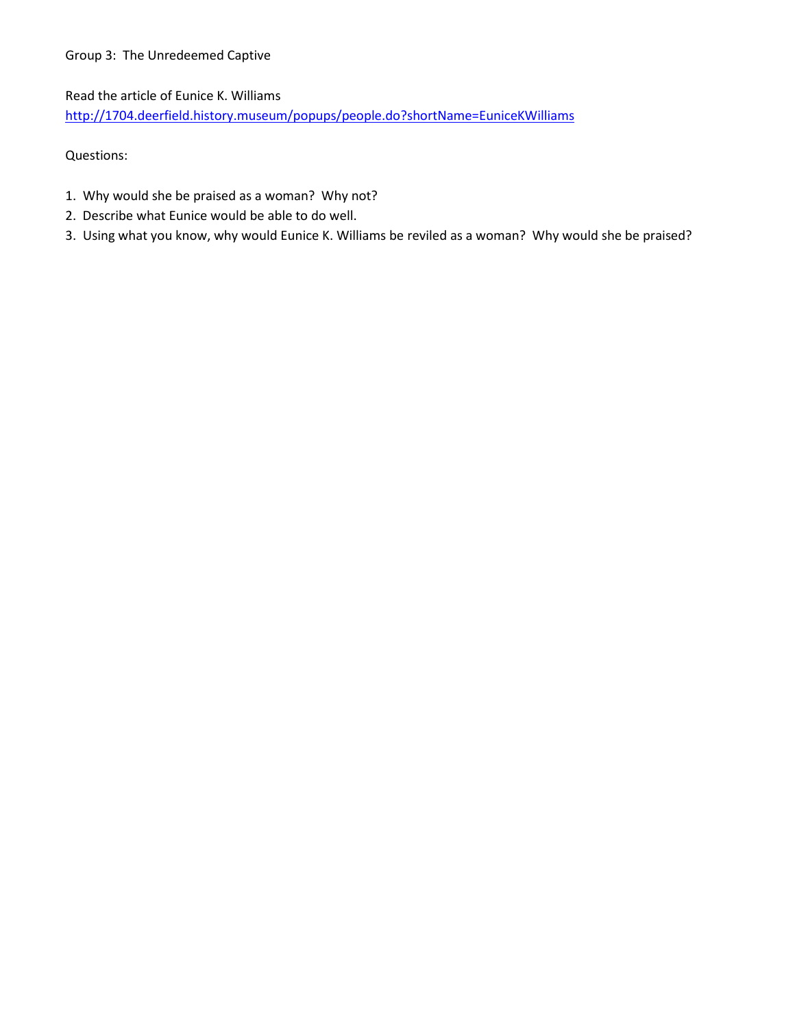# Group 3: The Unredeemed Captive

Read the article of Eunice K. Williams

<http://1704.deerfield.history.museum/popups/people.do?shortName=EuniceKWilliams>

Questions:

- 1. Why would she be praised as a woman? Why not?
- 2. Describe what Eunice would be able to do well.
- 3. Using what you know, why would Eunice K. Williams be reviled as a woman? Why would she be praised?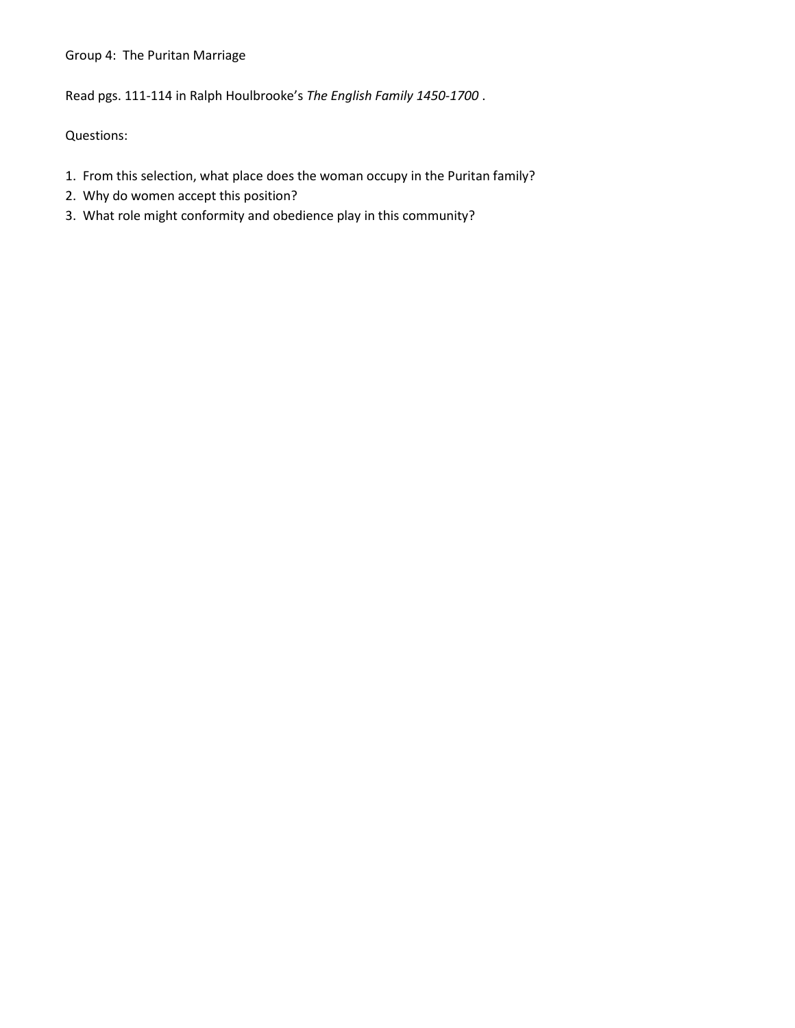#### Group 4: The Puritan Marriage

Read pgs. 111-114 in Ralph Houlbrooke's *The English Family 1450-1700* .

Questions:

- 1. From this selection, what place does the woman occupy in the Puritan family?
- 2. Why do women accept this position?
- 3. What role might conformity and obedience play in this community?